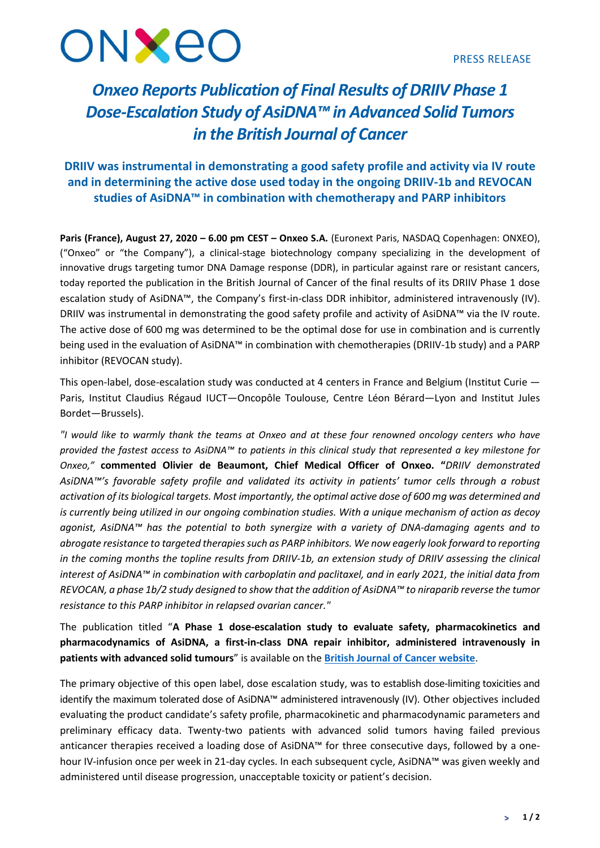

# *Onxeo Reports Publication of Final Results of DRIIV Phase 1 Dose-Escalation Study of AsiDNA™ in Advanced Solid Tumors in the British Journal of Cancer*

## **DRIIV was instrumental in demonstrating a good safety profile and activity via IV route and in determining the active dose used today in the ongoing DRIIV-1b and REVOCAN studies of AsiDNA™ in combination with chemotherapy and PARP inhibitors**

**Paris (France), August 27, 2020 – 6.00 pm CEST – Onxeo S.A.** (Euronext Paris, NASDAQ Copenhagen: ONXEO), ("Onxeo" or "the Company"), a clinical-stage biotechnology company specializing in the development of innovative drugs targeting tumor DNA Damage response (DDR), in particular against rare or resistant cancers, today reported the publication in the British Journal of Cancer of the final results of its DRIIV Phase 1 dose escalation study of AsiDNA™, the Company's first-in-class DDR inhibitor, administered intravenously (IV). DRIIV was instrumental in demonstrating the good safety profile and activity of AsiDNA™ via the IV route. The active dose of 600 mg was determined to be the optimal dose for use in combination and is currently being used in the evaluation of AsiDNA™ in combination with chemotherapies (DRIIV-1b study) and a PARP inhibitor (REVOCAN study).

This open-label, dose-escalation study was conducted at 4 centers in France and Belgium (Institut Curie — Paris, Institut Claudius Régaud IUCT—Oncopôle Toulouse, Centre Léon Bérard—Lyon and Institut Jules Bordet—Brussels).

*"I would like to warmly thank the teams at Onxeo and at these four renowned oncology centers who have provided the fastest access to AsiDNA™ to patients in this clinical study that represented a key milestone for Onxeo,"* **commented Olivier de Beaumont, Chief Medical Officer of Onxeo. "***DRIIV demonstrated AsiDNA™'s favorable safety profile and validated its activity in patients' tumor cells through a robust* activation of its biological targets. Most importantly, the optimal active dose of 600 mg was determined and is currently being utilized in our ongoing combination studies. With a unique mechanism of action as decoy *agonist, AsiDNA™ has the potential to both synergize with a variety of DNA-damaging agents and to abrogate resistance to targeted therapiessuch as PARP inhibitors. We now eagerly look forward to reporting* in the coming months the topline results from DRIIV-1b, an extension study of DRIIV assessing the clinical interest of AsiDNA™ in combination with carboplatin and paclitaxel, and in early 2021, the initial data from REVOCAN, a phase 1b/2 study designed to show that the addition of AsiDNA™ to niraparib reverse the tumor *resistance to this PARP inhibitor in relapsed ovarian cancer."*

The publication titled "**A Phase 1 dose-escalation study to evaluate safety, pharmacokinetics and pharmacodynamics of AsiDNA, a first-in-class DNA repair inhibitor, administered intravenously in patients with advanced solid tumours**" is available on the **British Journal of Cancer [website](https://www.nature.com/articles/s41416-020-01028-8.pdf)**.

The primary objective of this open label, dose escalation study, was to establish dose-limiting toxicities and identify the maximum tolerated dose of AsiDNA™ administered intravenously (IV). Other objectives included evaluating the product candidate's safety profile, pharmacokinetic and pharmacodynamic parameters and preliminary efficacy data. Twenty-two patients with advanced solid tumors having failed previous anticancer therapies received a loading dose of AsiDNA™ for three consecutive days, followed by a onehour IV-infusion once per week in 21-day cycles. In each subsequent cycle, AsiDNA™ was given weekly and administered until disease progression, unacceptable toxicity or patient's decision.